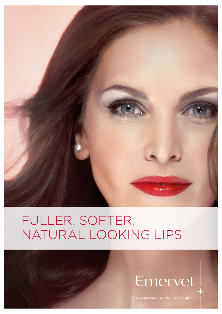

# FULLER, SOFTER, NATURAL LOOKING LIPS

# Emervel

Are you ready for your close up?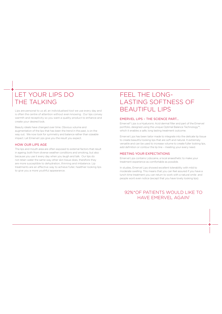### LET YOUR LIPS DO THE TALKING

is often the centre of attention without even knowing. Our lips convey warmth and receptivity so you want a quality product to enhance and create your desired look.

Beauty ideals have changed over time. Obvious volume and augmentation of the lips that has been the trend in the past, is on the way out. We now look for symmetry and balance rather than sizeable impact. Let Emervel Lips give you the result you expect.

### HOW OUR LIPS AGE

The lips and mouth area are often exposed to external factors that result in ageing; both from diverse weather conditions and smoking, but also because you use it every day when you laugh and talk. Our lips do not retain water the same way other skin tissue does, therefore they are more susceptible to dehydration, thinning and imbalance. Lip treatments are an efective way to achieve fuller, healthier looking lips to give you a more youthful appearance.

### FEEL THE LONG-LASTING SOFTNESS OF Lips are personal to us all, an individualised tool we use every day and  $\overline{\text{BEAUTIFUL LIPS}}$

#### EMERVEL LIPS – THE SCIENCE PART…

Emervel® Lips is a Hyaluronic Acid dermal filler and part of the Emervel portfolio, designed using the unique Optimal Balance Technology™, which it enables a safe, long lasting treatment outcome.

Emervel Lips has been tailor made to integrate into the delicate lip tissue to create beautiful looking lips that are soft and natural. It extremely versatile and can be used to increase volume to create fuller looking lips, add definition or contour the lip line – meeting your every need.

#### MEETING YOUR EXPECTATIONS

Emervel Lips contains Lidocaine, a local anaesthetic to make your treatment experience as comfortable as possible.

In studies, Emervel Lips showed excellent tolerability with mild to moderate swelling. This means that you can feel assured if you have a lunch time treatment you can return to work with a natural smile and people wont even notice (except that you have lovely looking lips).

### 92%\*OF PATIENTS WOULD LIKE TO HAVE EMERVEL AGAIN1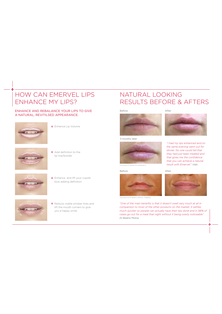### HOW CAN EMERVEL LIPS ENHANCE MY LIPS?

### ENHANCE AND REBALANCE YOUR LIPS TO GIVE A NATURAL, REVITILSED APPEARANCE.



Enhance Lip Volume



 $\pm$  Add definition to the lip line/border



+ Enhance and lift your cupids bow adding definition



+ Reduce visible smoker lines and lift the mouth corners to give you a happy smile.

### NATURAL LOOKING RESULTS BEFORE & AFTERS

#### Before



3 months later



#### Before



Courtesy of Dr Beatriz Molina – Medikas

*"One of the main benefits is that it doesn't swell very much at all in comparison to most of the other products on the market. It settles much quicker so people can actually have their lips done and in 98% of cases go out for a meal that night without it being overly noticeable" Dr Beatriz Molina*



*"I had my lips enhanced and on the same evening went out for dinner. No one could tell that they had just been treated and that gives me the confidence that you can achieve a natural result with Emervel." Vikki*

After

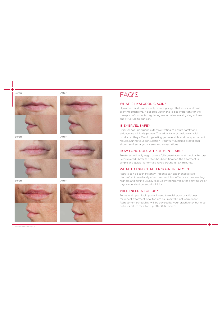After



Before





Before



Courtesy of Dr Rita Rakus



### FAQ'S

### WHAT IS HYALURONIC ACID?

Hyaluronic acid is a naturally occuring sugar that exists in almost all living organisms. It absorbs water and is also important for the transport of nutrients, regulating water balance and giving volume and structure to our skin.

### IS EMERVEL SAFE?

Emervel has undergone extensive testing to ensure safety and efficacy are clinically proven. The advantage of hyaluronic acid products , they offers long-lasting yet reversible and non-permanent results. During your consultation , your fully qualified practitioner should address any concerns and expectations.

### HOW LONG DOES A TREATMENT TAKE?

Treatment will only begin once a full consultation and medical history is completed . After this step has been finalised the treatment is simple and quick - It normally takes around 15-20 minutes.

### WHAT TO EXPECT AFTER YOUR TREATMENT.

Results can be seen instantly. Patients can experience a little discomfort immediately after treatment, but efects such as swelling, redness and itching usually resolve by themselves after a few hours or days dependent on each individual.

#### WILL I NEED A TOP-UP?

To maintain your look, you will need to revisit your practitioner for repeat treatment or a 'top up', as Emervel is not permanent. Retreatment scheduling will be advised by your practitioner, but most patients return for a top-up after 6-12 months.